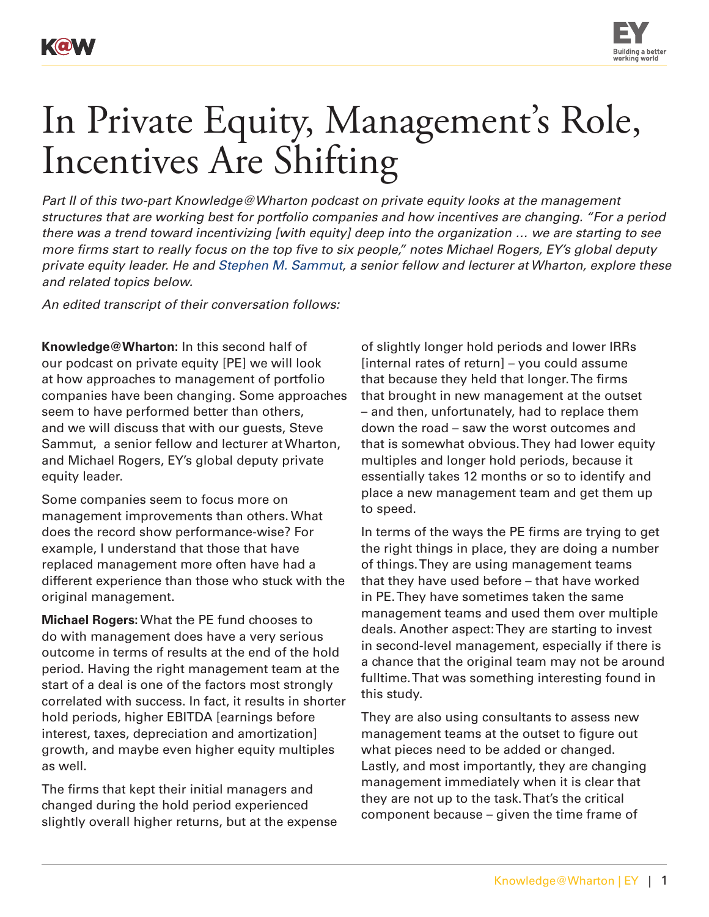

## In Private Equity, Management's Role, Incentives Are Shifting

*Part II of this two-part Knowledge@Wharton podcast on private equity looks at the management structures that are working best for portfolio companies and how incentives are changing. "For a period there was a trend toward incentivizing [with equity] deep into the organization … we are starting to see more firms start to really focus on the top five to six people," notes Michael Rogers, EY's global deputy private equity leader. He and [Stephen M. Sammut,](http://entrepreneurship.wharton.upenn.edu/teaching/faculty/sammut.html) a senior fellow and lecturer at Wharton, explore these and related topics below.*

*An edited transcript of their conversation follows:* 

**Knowledge@Wharton:** In this second half of our podcast on private equity [PE] we will look at how approaches to management of portfolio companies have been changing. Some approaches seem to have performed better than others, and we will discuss that with our guests, Steve Sammut, a senior fellow and lecturer at Wharton, and Michael Rogers, EY's global deputy private equity leader.

Some companies seem to focus more on management improvements than others. What does the record show performance-wise? For example, I understand that those that have replaced management more often have had a different experience than those who stuck with the original management.

**Michael Rogers:** What the PE fund chooses to do with management does have a very serious outcome in terms of results at the end of the hold period. Having the right management team at the start of a deal is one of the factors most strongly correlated with success. In fact, it results in shorter hold periods, higher EBITDA [earnings before interest, taxes, depreciation and amortization] growth, and maybe even higher equity multiples as well.

The firms that kept their initial managers and changed during the hold period experienced slightly overall higher returns, but at the expense

of slightly longer hold periods and lower IRRs [internal rates of return] – you could assume that because they held that longer. The firms that brought in new management at the outset – and then, unfortunately, had to replace them down the road – saw the worst outcomes and that is somewhat obvious. They had lower equity multiples and longer hold periods, because it essentially takes 12 months or so to identify and place a new management team and get them up to speed.

In terms of the ways the PE firms are trying to get the right things in place, they are doing a number of things. They are using management teams that they have used before – that have worked in PE. They have sometimes taken the same management teams and used them over multiple deals. Another aspect: They are starting to invest in second-level management, especially if there is a chance that the original team may not be around fulltime. That was something interesting found in this study.

They are also using consultants to assess new management teams at the outset to figure out what pieces need to be added or changed. Lastly, and most importantly, they are changing management immediately when it is clear that they are not up to the task. That's the critical component because – given the time frame of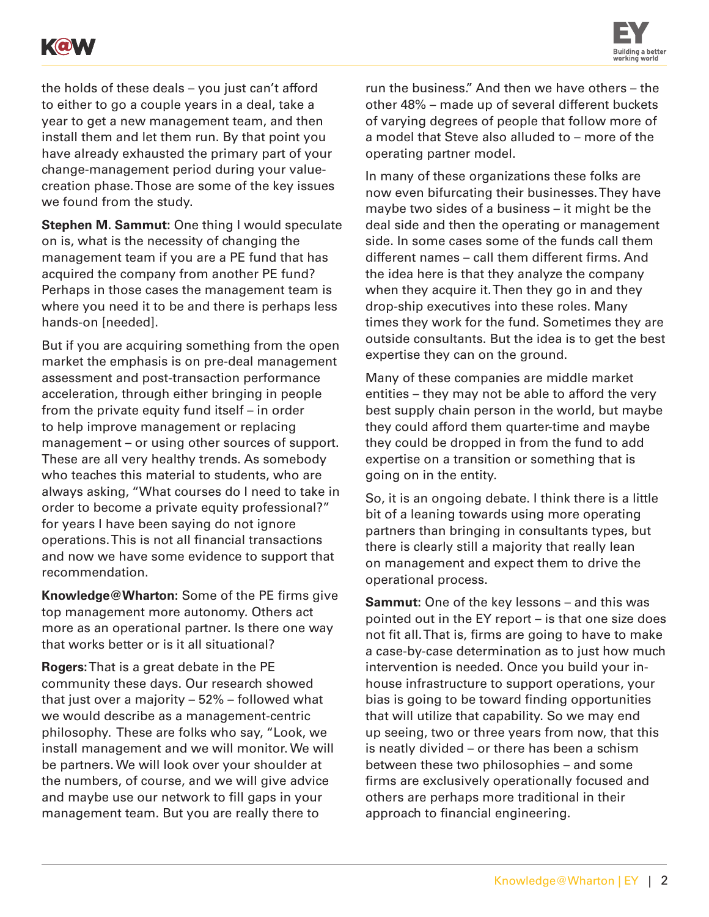



the holds of these deals – you just can't afford to either to go a couple years in a deal, take a year to get a new management team, and then install them and let them run. By that point you have already exhausted the primary part of your change-management period during your valuecreation phase. Those are some of the key issues we found from the study.

**Stephen M. Sammut:** One thing I would speculate on is, what is the necessity of changing the management team if you are a PE fund that has acquired the company from another PE fund? Perhaps in those cases the management team is where you need it to be and there is perhaps less hands-on [needed].

But if you are acquiring something from the open market the emphasis is on pre-deal management assessment and post-transaction performance acceleration, through either bringing in people from the private equity fund itself – in order to help improve management or replacing management – or using other sources of support. These are all very healthy trends. As somebody who teaches this material to students, who are always asking, "What courses do I need to take in order to become a private equity professional?" for years I have been saying do not ignore operations. This is not all financial transactions and now we have some evidence to support that recommendation.

**Knowledge@Wharton:** Some of the PE firms give top management more autonomy. Others act more as an operational partner. Is there one way that works better or is it all situational?

**Rogers:** That is a great debate in the PE community these days. Our research showed that just over a majority – 52% – followed what we would describe as a management-centric philosophy. These are folks who say, "Look, we install management and we will monitor. We will be partners. We will look over your shoulder at the numbers, of course, and we will give advice and maybe use our network to fill gaps in your management team. But you are really there to

run the business." And then we have others – the other 48% – made up of several different buckets of varying degrees of people that follow more of a model that Steve also alluded to – more of the operating partner model.

In many of these organizations these folks are now even bifurcating their businesses. They have maybe two sides of a business – it might be the deal side and then the operating or management side. In some cases some of the funds call them different names – call them different firms. And the idea here is that they analyze the company when they acquire it. Then they go in and they drop-ship executives into these roles. Many times they work for the fund. Sometimes they are outside consultants. But the idea is to get the best expertise they can on the ground.

Many of these companies are middle market entities – they may not be able to afford the very best supply chain person in the world, but maybe they could afford them quarter-time and maybe they could be dropped in from the fund to add expertise on a transition or something that is going on in the entity.

So, it is an ongoing debate. I think there is a little bit of a leaning towards using more operating partners than bringing in consultants types, but there is clearly still a majority that really lean on management and expect them to drive the operational process.

**Sammut:** One of the key lessons – and this was pointed out in the EY report – is that one size does not fit all. That is, firms are going to have to make a case-by-case determination as to just how much intervention is needed. Once you build your inhouse infrastructure to support operations, your bias is going to be toward finding opportunities that will utilize that capability. So we may end up seeing, two or three years from now, that this is neatly divided – or there has been a schism between these two philosophies – and some firms are exclusively operationally focused and others are perhaps more traditional in their approach to financial engineering.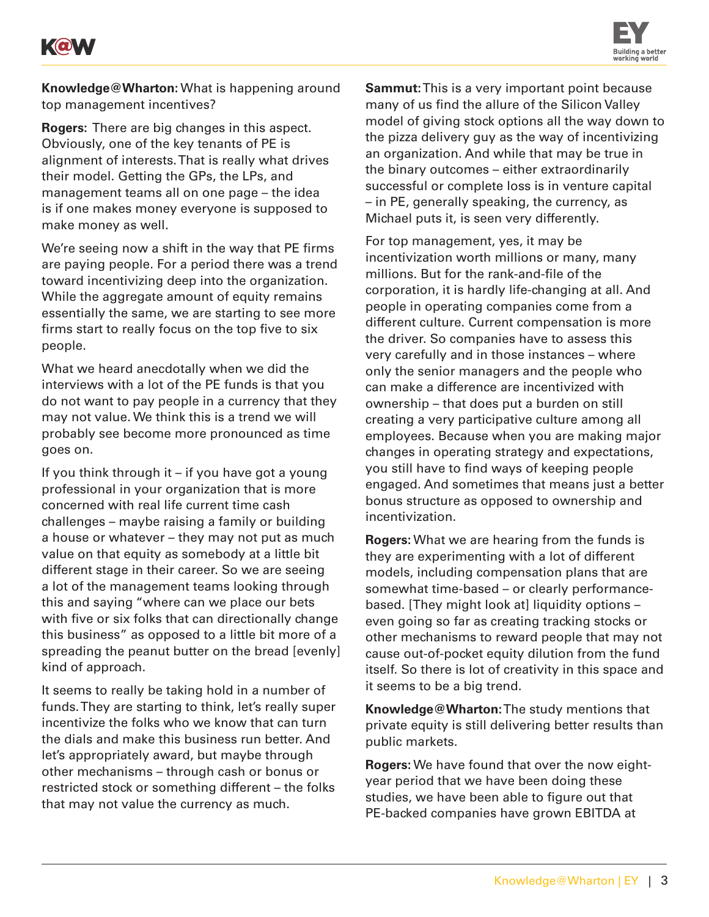



**Knowledge@Wharton:** What is happening around top management incentives?

**Rogers:** There are big changes in this aspect. Obviously, one of the key tenants of PE is alignment of interests. That is really what drives their model. Getting the GPs, the LPs, and management teams all on one page – the idea is if one makes money everyone is supposed to make money as well.

We're seeing now a shift in the way that PE firms are paying people. For a period there was a trend toward incentivizing deep into the organization. While the aggregate amount of equity remains essentially the same, we are starting to see more firms start to really focus on the top five to six people.

What we heard anecdotally when we did the interviews with a lot of the PE funds is that you do not want to pay people in a currency that they may not value. We think this is a trend we will probably see become more pronounced as time goes on.

If you think through it – if you have got a young professional in your organization that is more concerned with real life current time cash challenges – maybe raising a family or building a house or whatever – they may not put as much value on that equity as somebody at a little bit different stage in their career. So we are seeing a lot of the management teams looking through this and saying "where can we place our bets with five or six folks that can directionally change this business" as opposed to a little bit more of a spreading the peanut butter on the bread [evenly] kind of approach.

It seems to really be taking hold in a number of funds. They are starting to think, let's really super incentivize the folks who we know that can turn the dials and make this business run better. And let's appropriately award, but maybe through other mechanisms – through cash or bonus or restricted stock or something different – the folks that may not value the currency as much.

**Sammut:** This is a very important point because many of us find the allure of the Silicon Valley model of giving stock options all the way down to the pizza delivery guy as the way of incentivizing an organization. And while that may be true in the binary outcomes – either extraordinarily successful or complete loss is in venture capital – in PE, generally speaking, the currency, as Michael puts it, is seen very differently.

For top management, yes, it may be incentivization worth millions or many, many millions. But for the rank-and-file of the corporation, it is hardly life-changing at all. And people in operating companies come from a different culture. Current compensation is more the driver. So companies have to assess this very carefully and in those instances – where only the senior managers and the people who can make a difference are incentivized with ownership – that does put a burden on still creating a very participative culture among all employees. Because when you are making major changes in operating strategy and expectations, you still have to find ways of keeping people engaged. And sometimes that means just a better bonus structure as opposed to ownership and incentivization.

**Rogers:** What we are hearing from the funds is they are experimenting with a lot of different models, including compensation plans that are somewhat time-based – or clearly performancebased. [They might look at] liquidity options – even going so far as creating tracking stocks or other mechanisms to reward people that may not cause out-of-pocket equity dilution from the fund itself. So there is lot of creativity in this space and it seems to be a big trend.

**Knowledge@Wharton:** The study mentions that private equity is still delivering better results than public markets.

**Rogers:** We have found that over the now eightyear period that we have been doing these studies, we have been able to figure out that PE-backed companies have grown EBITDA at